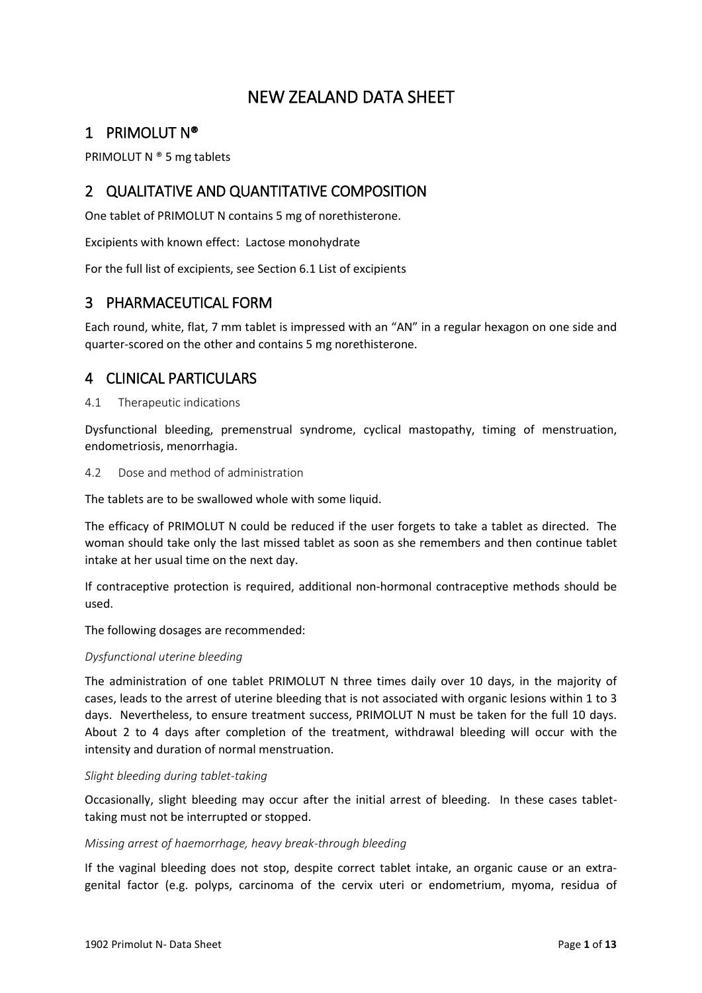# NEW ZEALAND DATA SHEET

# 1 PRIMOLUT N®

PRIMOLUT N ® 5 mg tablets

# 2 QUALITATIVE AND QUANTITATIVE COMPOSITION

One tablet of PRIMOLUT N contains 5 mg of norethisterone.

Excipients with known effect: Lactose monohydrate

For the full list of excipients, see Section [6.1](#page-10-0) [List of excipients](#page-10-0)

## 3 PHARMACEUTICAL FORM

Each round, white, flat, 7 mm tablet is impressed with an "AN" in a regular hexagon on one side and quarter-scored on the other and contains 5 mg norethisterone.

# 4 CLINICAL PARTICULARS

## 4.1 Therapeutic indications

Dysfunctional bleeding, premenstrual syndrome, cyclical mastopathy, timing of menstruation, endometriosis, menorrhagia.

4.2 Dose and method of administration

The tablets are to be swallowed whole with some liquid.

The efficacy of PRIMOLUT N could be reduced if the user forgets to take a tablet as directed. The woman should take only the last missed tablet as soon as she remembers and then continue tablet intake at her usual time on the next day.

If contraceptive protection is required, additional non-hormonal contraceptive methods should be used.

The following dosages are recommended:

## *Dysfunctional uterine bleeding*

The administration of one tablet PRIMOLUT N three times daily over 10 days, in the majority of cases, leads to the arrest of uterine bleeding that is not associated with organic lesions within 1 to 3 days. Nevertheless, to ensure treatment success, PRIMOLUT N must be taken for the full 10 days. About 2 to 4 days after completion of the treatment, withdrawal bleeding will occur with the intensity and duration of normal menstruation.

#### *Slight bleeding during tablet-taking*

Occasionally, slight bleeding may occur after the initial arrest of bleeding. In these cases tablettaking must not be interrupted or stopped.

#### *Missing arrest of haemorrhage, heavy break-through bleeding*

If the vaginal bleeding does not stop, despite correct tablet intake, an organic cause or an extragenital factor (e.g. polyps, carcinoma of the cervix uteri or endometrium, myoma, residua of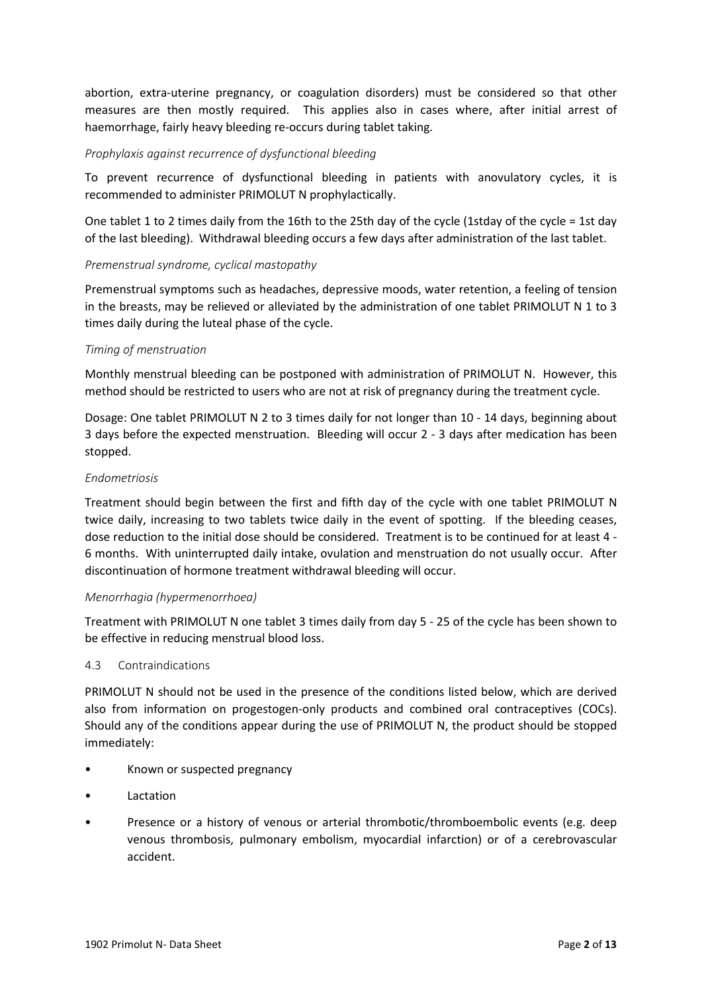abortion, extra-uterine pregnancy, or coagulation disorders) must be considered so that other measures are then mostly required. This applies also in cases where, after initial arrest of haemorrhage, fairly heavy bleeding re-occurs during tablet taking.

### *Prophylaxis against recurrence of dysfunctional bleeding*

To prevent recurrence of dysfunctional bleeding in patients with anovulatory cycles, it is recommended to administer PRIMOLUT N prophylactically.

One tablet 1 to 2 times daily from the 16th to the 25th day of the cycle (1stday of the cycle = 1st day of the last bleeding). Withdrawal bleeding occurs a few days after administration of the last tablet.

## *Premenstrual syndrome, cyclical mastopathy*

Premenstrual symptoms such as headaches, depressive moods, water retention, a feeling of tension in the breasts, may be relieved or alleviated by the administration of one tablet PRIMOLUT N 1 to 3 times daily during the luteal phase of the cycle.

#### *Timing of menstruation*

Monthly menstrual bleeding can be postponed with administration of PRIMOLUT N. However, this method should be restricted to users who are not at risk of pregnancy during the treatment cycle.

Dosage: One tablet PRIMOLUT N 2 to 3 times daily for not longer than 10 - 14 days, beginning about 3 days before the expected menstruation. Bleeding will occur 2 - 3 days after medication has been stopped.

#### *Endometriosis*

Treatment should begin between the first and fifth day of the cycle with one tablet PRIMOLUT N twice daily, increasing to two tablets twice daily in the event of spotting. If the bleeding ceases, dose reduction to the initial dose should be considered. Treatment is to be continued for at least 4 - 6 months. With uninterrupted daily intake, ovulation and menstruation do not usually occur. After discontinuation of hormone treatment withdrawal bleeding will occur.

#### *Menorrhagia (hypermenorrhoea)*

Treatment with PRIMOLUT N one tablet 3 times daily from day 5 - 25 of the cycle has been shown to be effective in reducing menstrual blood loss.

## <span id="page-1-0"></span>4.3 Contraindications

PRIMOLUT N should not be used in the presence of the conditions listed below, which are derived also from information on progestogen-only products and combined oral contraceptives (COCs). Should any of the conditions appear during the use of PRIMOLUT N, the product should be stopped immediately:

- Known or suspected pregnancy
- **Lactation**
- Presence or a history of venous or arterial thrombotic/thromboembolic events (e.g. deep venous thrombosis, pulmonary embolism, myocardial infarction) or of a cerebrovascular accident.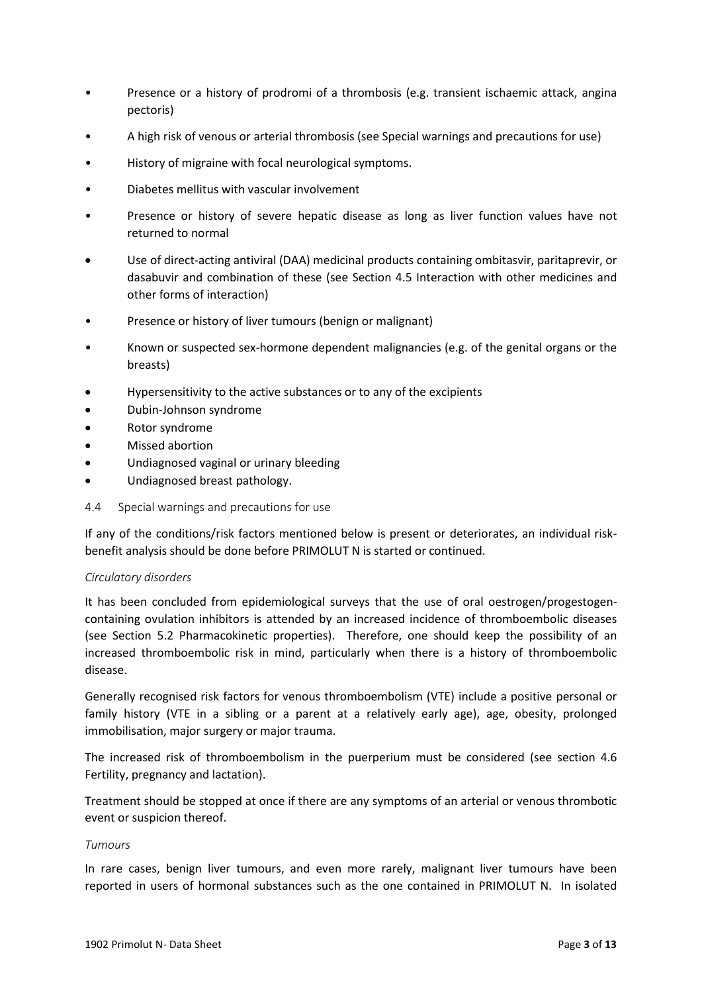- Presence or a history of prodromi of a thrombosis (e.g. transient ischaemic attack, angina pectoris)
- A high risk of venous or arterial thrombosis (see [Special warnings and precautions for use\)](#page-2-0)
- History of migraine with focal neurological symptoms.
- Diabetes mellitus with vascular involvement
- Presence or history of severe hepatic disease as long as liver function values have not returned to normal
- Use of direct-acting antiviral (DAA) medicinal products containing ombitasvir, paritaprevir, or dasabuvir and combination of these (see Section [4.5](#page-6-0) [Interaction with other medicines and](#page-6-0)  [other forms of interaction\)](#page-6-0)
- Presence or history of liver tumours (benign or malignant)
- Known or suspected sex-hormone dependent malignancies (e.g. of the genital organs or the breasts)
- Hypersensitivity to the active substances or to any of the excipients
- Dubin-Johnson syndrome
- Rotor syndrome
- Missed abortion
- Undiagnosed vaginal or urinary bleeding
- Undiagnosed breast pathology.
- <span id="page-2-0"></span>4.4 Special warnings and precautions for use

If any of the conditions/risk factors mentioned below is present or deteriorates, an individual riskbenefit analysis should be done before PRIMOLUT N is started or continued.

#### *Circulatory disorders*

It has been concluded from epidemiological surveys that the use of oral oestrogen/progestogencontaining ovulation inhibitors is attended by an increased incidence of thromboembolic diseases (see Section [5.2](#page-9-0) [Pharmacokinetic properties\)](#page-9-0). Therefore, one should keep the possibility of an increased thromboembolic risk in mind, particularly when there is a history of thromboembolic disease.

Generally recognised risk factors for venous thromboembolism (VTE) include a positive personal or family history (VTE in a sibling or a parent at a relatively early age), age, obesity, prolonged immobilisation, major surgery or major trauma.

The increased risk of thromboembolism in the puerperium must be considered (see section [4.6](#page-7-0) [Fertility, pregnancy and lactation\)](#page-7-0).

Treatment should be stopped at once if there are any symptoms of an arterial or venous thrombotic event or suspicion thereof.

#### *Tumours*

In rare cases, benign liver tumours, and even more rarely, malignant liver tumours have been reported in users of hormonal substances such as the one contained in PRIMOLUT N. In isolated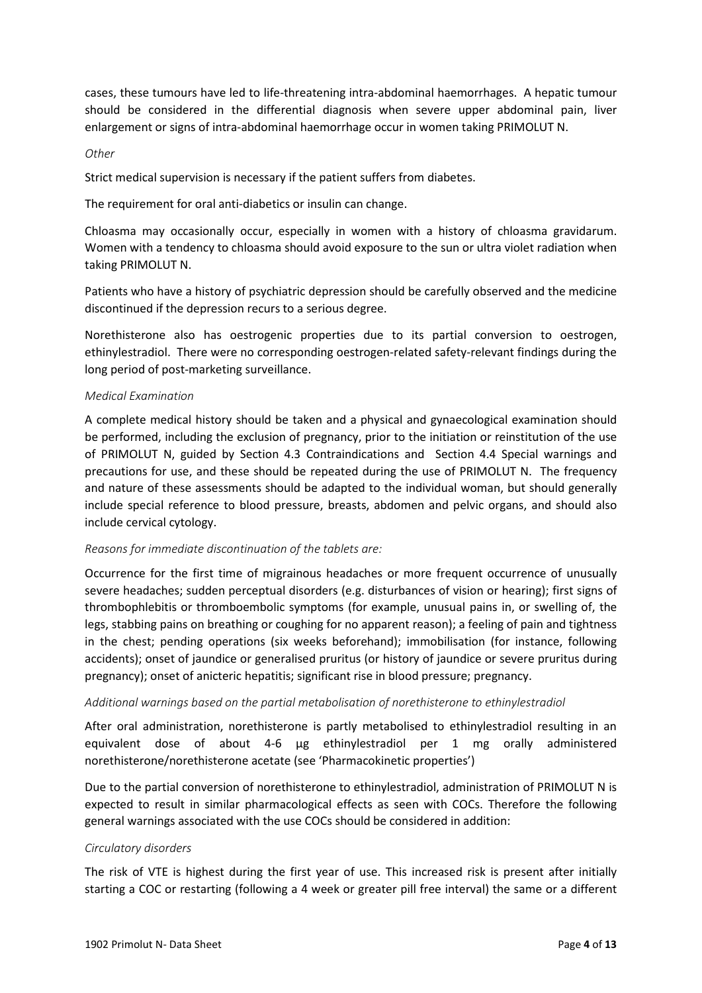cases, these tumours have led to life-threatening intra-abdominal haemorrhages. A hepatic tumour should be considered in the differential diagnosis when severe upper abdominal pain, liver enlargement or signs of intra-abdominal haemorrhage occur in women taking PRIMOLUT N.

### *Other*

Strict medical supervision is necessary if the patient suffers from diabetes.

The requirement for oral anti-diabetics or insulin can change.

Chloasma may occasionally occur, especially in women with a history of chloasma gravidarum. Women with a tendency to chloasma should avoid exposure to the sun or ultra violet radiation when taking PRIMOLUT N.

Patients who have a history of psychiatric depression should be carefully observed and the medicine discontinued if the depression recurs to a serious degree.

Norethisterone also has oestrogenic properties due to its partial conversion to oestrogen, ethinylestradiol. There were no corresponding oestrogen-related safety-relevant findings during the long period of post-marketing surveillance.

## *Medical Examination*

A complete medical history should be taken and a physical and gynaecological examination should be performed, including the exclusion of pregnancy, prior to the initiation or reinstitution of the use of PRIMOLUT N, guided by Section [4.3](#page-1-0) [Contraindications](#page-1-0) and Section [4.4](#page-2-0) [Special warnings and](#page-2-0)  [precautions for use,](#page-2-0) and these should be repeated during the use of PRIMOLUT N. The frequency and nature of these assessments should be adapted to the individual woman, but should generally include special reference to blood pressure, breasts, abdomen and pelvic organs, and should also include cervical cytology.

## *Reasons for immediate discontinuation of the tablets are:*

Occurrence for the first time of migrainous headaches or more frequent occurrence of unusually severe headaches; sudden perceptual disorders (e.g. disturbances of vision or hearing); first signs of thrombophlebitis or thromboembolic symptoms (for example, unusual pains in, or swelling of, the legs, stabbing pains on breathing or coughing for no apparent reason); a feeling of pain and tightness in the chest; pending operations (six weeks beforehand); immobilisation (for instance, following accidents); onset of jaundice or generalised pruritus (or history of jaundice or severe pruritus during pregnancy); onset of anicteric hepatitis; significant rise in blood pressure; pregnancy.

## *Additional warnings based on the partial metabolisation of norethisterone to ethinylestradiol*

After oral administration, norethisterone is partly metabolised to ethinylestradiol resulting in an equivalent dose of about 4-6 μg ethinylestradiol per 1 mg orally administered norethisterone/norethisterone acetate (see ['Pharmacokinetic properties'](#page-9-0))

Due to the partial conversion of norethisterone to ethinylestradiol, administration of PRIMOLUT N is expected to result in similar pharmacological effects as seen with COCs. Therefore the following general warnings associated with the use COCs should be considered in addition:

#### *Circulatory disorders*

The risk of VTE is highest during the first year of use. This increased risk is present after initially starting a COC or restarting (following a 4 week or greater pill free interval) the same or a different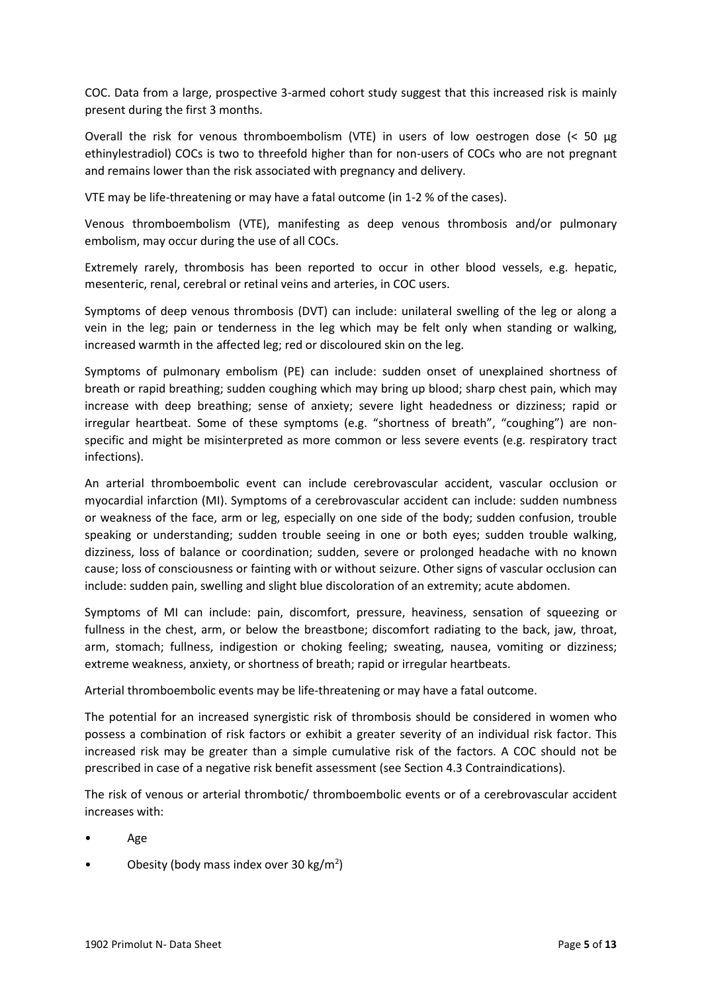COC. Data from a large, prospective 3-armed cohort study suggest that this increased risk is mainly present during the first 3 months.

Overall the risk for venous thromboembolism (VTE) in users of low oestrogen dose (< 50 μg ethinylestradiol) COCs is two to threefold higher than for non-users of COCs who are not pregnant and remains lower than the risk associated with pregnancy and delivery.

VTE may be life-threatening or may have a fatal outcome (in 1-2 % of the cases).

Venous thromboembolism (VTE), manifesting as deep venous thrombosis and/or pulmonary embolism, may occur during the use of all COCs.

Extremely rarely, thrombosis has been reported to occur in other blood vessels, e.g. hepatic, mesenteric, renal, cerebral or retinal veins and arteries, in COC users.

Symptoms of deep venous thrombosis (DVT) can include: unilateral swelling of the leg or along a vein in the leg; pain or tenderness in the leg which may be felt only when standing or walking, increased warmth in the affected leg; red or discoloured skin on the leg.

Symptoms of pulmonary embolism (PE) can include: sudden onset of unexplained shortness of breath or rapid breathing; sudden coughing which may bring up blood; sharp chest pain, which may increase with deep breathing; sense of anxiety; severe light headedness or dizziness; rapid or irregular heartbeat. Some of these symptoms (e.g. "shortness of breath", "coughing") are nonspecific and might be misinterpreted as more common or less severe events (e.g. respiratory tract infections).

An arterial thromboembolic event can include cerebrovascular accident, vascular occlusion or myocardial infarction (MI). Symptoms of a cerebrovascular accident can include: sudden numbness or weakness of the face, arm or leg, especially on one side of the body; sudden confusion, trouble speaking or understanding; sudden trouble seeing in one or both eyes; sudden trouble walking, dizziness, loss of balance or coordination; sudden, severe or prolonged headache with no known cause; loss of consciousness or fainting with or without seizure. Other signs of vascular occlusion can include: sudden pain, swelling and slight blue discoloration of an extremity; acute abdomen.

Symptoms of MI can include: pain, discomfort, pressure, heaviness, sensation of squeezing or fullness in the chest, arm, or below the breastbone; discomfort radiating to the back, jaw, throat, arm, stomach; fullness, indigestion or choking feeling; sweating, nausea, vomiting or dizziness; extreme weakness, anxiety, or shortness of breath; rapid or irregular heartbeats.

Arterial thromboembolic events may be life-threatening or may have a fatal outcome.

The potential for an increased synergistic risk of thrombosis should be considered in women who possess a combination of risk factors or exhibit a greater severity of an individual risk factor. This increased risk may be greater than a simple cumulative risk of the factors. A COC should not be prescribed in case of a negative risk benefit assessment (see Sectio[n 4.3](#page-1-0) [Contraindications\)](#page-1-0).

The risk of venous or arterial thrombotic/ thromboembolic events or of a cerebrovascular accident increases with:

- Age
- Obesity (body mass index over 30 kg/m<sup>2</sup>)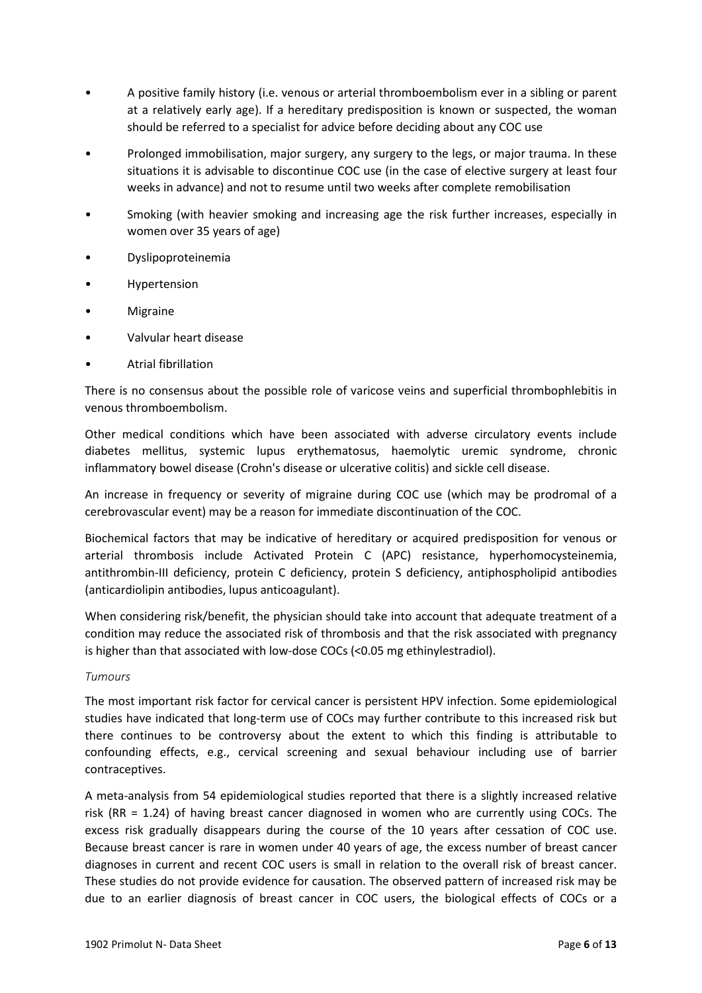- A positive family history (i.e. venous or arterial thromboembolism ever in a sibling or parent at a relatively early age). If a hereditary predisposition is known or suspected, the woman should be referred to a specialist for advice before deciding about any COC use
- Prolonged immobilisation, major surgery, any surgery to the legs, or major trauma. In these situations it is advisable to discontinue COC use (in the case of elective surgery at least four weeks in advance) and not to resume until two weeks after complete remobilisation
- Smoking (with heavier smoking and increasing age the risk further increases, especially in women over 35 years of age)
- Dyslipoproteinemia
- **Hypertension**
- **Migraine**
- Valvular heart disease
- Atrial fibrillation

There is no consensus about the possible role of varicose veins and superficial thrombophlebitis in venous thromboembolism.

Other medical conditions which have been associated with adverse circulatory events include diabetes mellitus, systemic lupus erythematosus, haemolytic uremic syndrome, chronic inflammatory bowel disease (Crohn's disease or ulcerative colitis) and sickle cell disease.

An increase in frequency or severity of migraine during COC use (which may be prodromal of a cerebrovascular event) may be a reason for immediate discontinuation of the COC.

Biochemical factors that may be indicative of hereditary or acquired predisposition for venous or arterial thrombosis include Activated Protein C (APC) resistance, hyperhomocysteinemia, antithrombin-III deficiency, protein C deficiency, protein S deficiency, antiphospholipid antibodies (anticardiolipin antibodies, lupus anticoagulant).

When considering risk/benefit, the physician should take into account that adequate treatment of a condition may reduce the associated risk of thrombosis and that the risk associated with pregnancy is higher than that associated with low-dose COCs (<0.05 mg ethinylestradiol).

## *Tumours*

The most important risk factor for cervical cancer is persistent HPV infection. Some epidemiological studies have indicated that long-term use of COCs may further contribute to this increased risk but there continues to be controversy about the extent to which this finding is attributable to confounding effects, e.g., cervical screening and sexual behaviour including use of barrier contraceptives.

A meta-analysis from 54 epidemiological studies reported that there is a slightly increased relative risk (RR = 1.24) of having breast cancer diagnosed in women who are currently using COCs. The excess risk gradually disappears during the course of the 10 years after cessation of COC use. Because breast cancer is rare in women under 40 years of age, the excess number of breast cancer diagnoses in current and recent COC users is small in relation to the overall risk of breast cancer. These studies do not provide evidence for causation. The observed pattern of increased risk may be due to an earlier diagnosis of breast cancer in COC users, the biological effects of COCs or a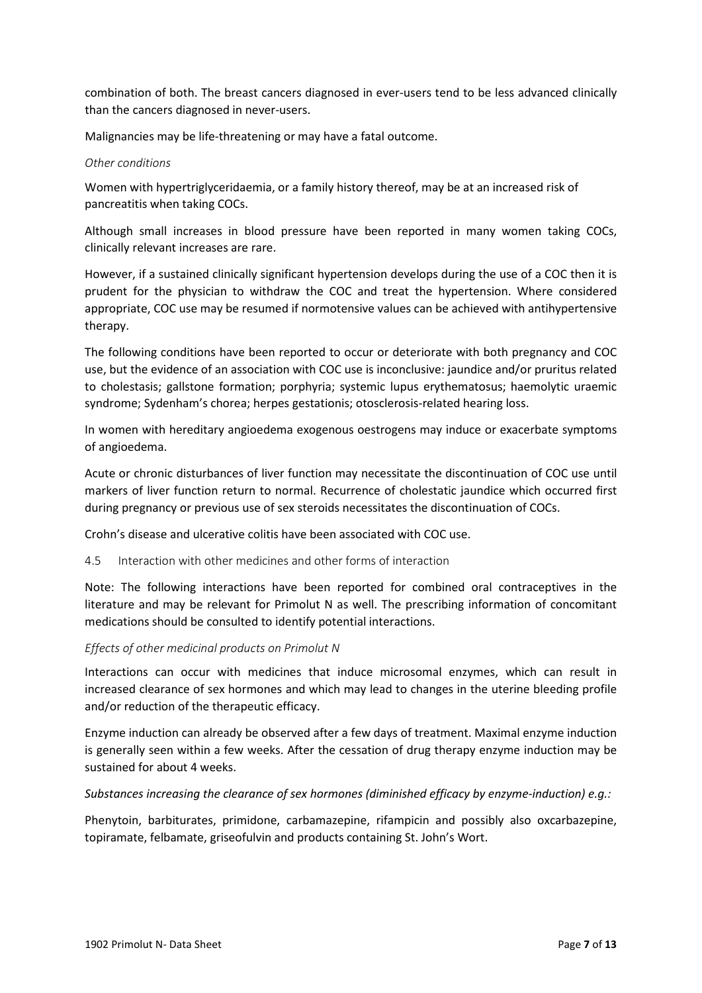combination of both. The breast cancers diagnosed in ever-users tend to be less advanced clinically than the cancers diagnosed in never-users.

Malignancies may be life-threatening or may have a fatal outcome.

#### *Other conditions*

Women with hypertriglyceridaemia, or a family history thereof, may be at an increased risk of pancreatitis when taking COCs.

Although small increases in blood pressure have been reported in many women taking COCs, clinically relevant increases are rare.

However, if a sustained clinically significant hypertension develops during the use of a COC then it is prudent for the physician to withdraw the COC and treat the hypertension. Where considered appropriate, COC use may be resumed if normotensive values can be achieved with antihypertensive therapy.

The following conditions have been reported to occur or deteriorate with both pregnancy and COC use, but the evidence of an association with COC use is inconclusive: jaundice and/or pruritus related to cholestasis; gallstone formation; porphyria; systemic lupus erythematosus; haemolytic uraemic syndrome; Sydenham's chorea; herpes gestationis; otosclerosis-related hearing loss.

In women with hereditary angioedema exogenous oestrogens may induce or exacerbate symptoms of angioedema.

Acute or chronic disturbances of liver function may necessitate the discontinuation of COC use until markers of liver function return to normal. Recurrence of cholestatic jaundice which occurred first during pregnancy or previous use of sex steroids necessitates the discontinuation of COCs.

Crohn's disease and ulcerative colitis have been associated with COC use.

<span id="page-6-0"></span>4.5 Interaction with other medicines and other forms of interaction

Note: The following interactions have been reported for combined oral contraceptives in the literature and may be relevant for Primolut N as well. The prescribing information of concomitant medications should be consulted to identify potential interactions.

## *Effects of other medicinal products on Primolut N*

Interactions can occur with medicines that induce microsomal enzymes, which can result in increased clearance of sex hormones and which may lead to changes in the uterine bleeding profile and/or reduction of the therapeutic efficacy.

Enzyme induction can already be observed after a few days of treatment. Maximal enzyme induction is generally seen within a few weeks. After the cessation of drug therapy enzyme induction may be sustained for about 4 weeks.

## *Substances increasing the clearance of sex hormones (diminished efficacy by enzyme-induction) e.g.:*

Phenytoin, barbiturates, primidone, carbamazepine, rifampicin and possibly also oxcarbazepine, topiramate, felbamate, griseofulvin and products containing St. John's Wort.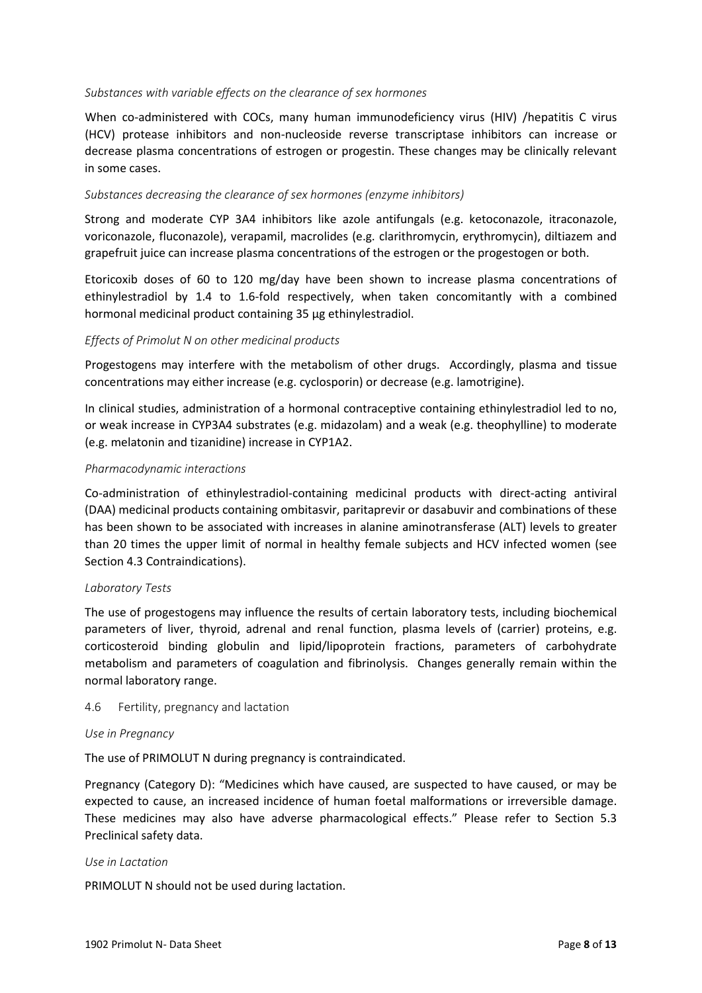## *Substances with variable effects on the clearance of sex hormones*

When co-administered with COCs, many human immunodeficiency virus (HIV) /hepatitis C virus (HCV) protease inhibitors and non-nucleoside reverse transcriptase inhibitors can increase or decrease plasma concentrations of estrogen or progestin. These changes may be clinically relevant in some cases.

## *Substances decreasing the clearance of sex hormones (enzyme inhibitors)*

Strong and moderate CYP 3A4 inhibitors like azole antifungals (e.g. ketoconazole, itraconazole, voriconazole, fluconazole), verapamil, macrolides (e.g. clarithromycin, erythromycin), diltiazem and grapefruit juice can increase plasma concentrations of the estrogen or the progestogen or both.

Etoricoxib doses of 60 to 120 mg/day have been shown to increase plasma concentrations of ethinylestradiol by 1.4 to 1.6-fold respectively, when taken concomitantly with a combined hormonal medicinal product containing 35 μg ethinylestradiol.

### *Effects of Primolut N on other medicinal products*

Progestogens may interfere with the metabolism of other drugs. Accordingly, plasma and tissue concentrations may either increase (e.g. cyclosporin) or decrease (e.g. lamotrigine).

In clinical studies, administration of a hormonal contraceptive containing ethinylestradiol led to no, or weak increase in CYP3A4 substrates (e.g. midazolam) and a weak (e.g. theophylline) to moderate (e.g. melatonin and tizanidine) increase in CYP1A2.

### *Pharmacodynamic interactions*

Co-administration of ethinylestradiol-containing medicinal products with direct-acting antiviral (DAA) medicinal products containing ombitasvir, paritaprevir or dasabuvir and combinations of these has been shown to be associated with increases in alanine aminotransferase (ALT) levels to greater than 20 times the upper limit of normal in healthy female subjects and HCV infected women (see Section [4.3](#page-1-0) [Contraindications\)](#page-1-0).

## *Laboratory Tests*

The use of progestogens may influence the results of certain laboratory tests, including biochemical parameters of liver, thyroid, adrenal and renal function, plasma levels of (carrier) proteins, e.g. corticosteroid binding globulin and lipid/lipoprotein fractions, parameters of carbohydrate metabolism and parameters of coagulation and fibrinolysis. Changes generally remain within the normal laboratory range.

#### <span id="page-7-0"></span>4.6 Fertility, pregnancy and lactation

#### *Use in Pregnancy*

The use of PRIMOLUT N during pregnancy is contraindicated.

Pregnancy (Category D): "Medicines which have caused, are suspected to have caused, or may be expected to cause, an increased incidence of human foetal malformations or irreversible damage. These medicines may also have adverse pharmacological effects." Please refer to Section [5.3](#page-10-1) [Preclinical safety data.](#page-10-1)

#### *Use in Lactation*

PRIMOLUT N should not be used during lactation.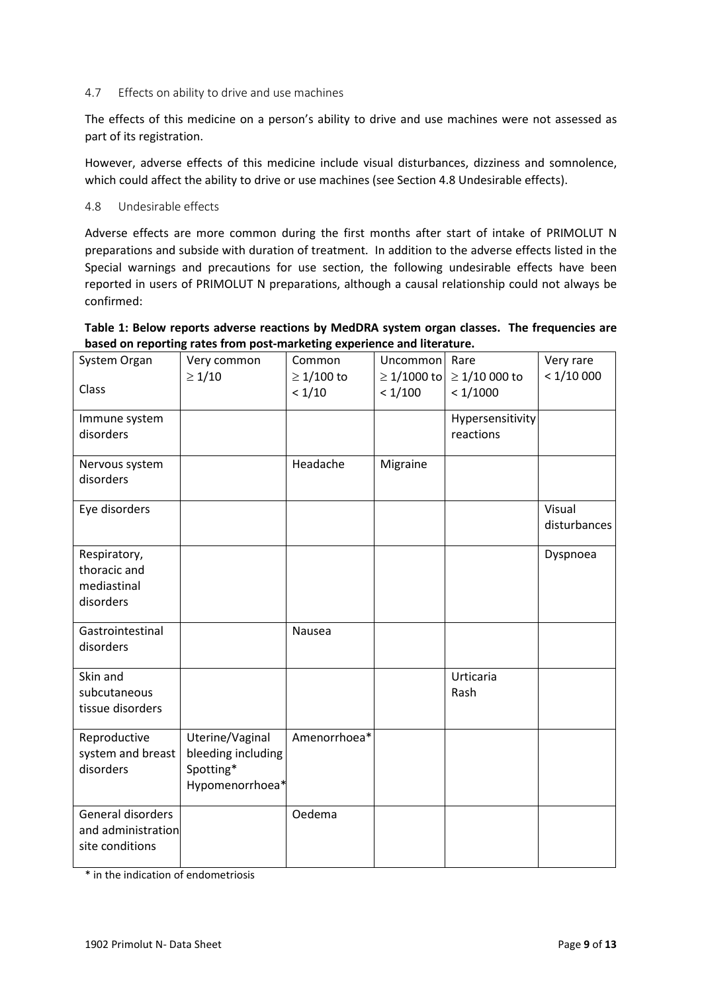## 4.7 Effects on ability to drive and use machines

The effects of this medicine on a person's ability to drive and use machines were not assessed as part of its registration.

However, adverse effects of this medicine include visual disturbances, dizziness and somnolence, which could affect the ability to drive or use machines (see Sectio[n 4.8](#page-8-0) [Undesirable effects\)](#page-8-0).

## <span id="page-8-0"></span>4.8 Undesirable effects

Adverse effects are more common during the first months after start of intake of PRIMOLUT N preparations and subside with duration of treatment. In addition to the adverse effects listed in the [Special warnings and precautions for use](#page-2-0) section, the following undesirable effects have been reported in users of PRIMOLUT N preparations, although a causal relationship could not always be confirmed:

## **Table 1: Below reports adverse reactions by MedDRA system organ classes. The frequencies are based on reporting rates from post-marketing experience and literature.**

| System Organ       | Very common        | Common          | Uncommon         | Rare               | Very rare    |
|--------------------|--------------------|-----------------|------------------|--------------------|--------------|
|                    | $\geq 1/10$        | $\geq 1/100$ to | $\geq 1/1000$ to | $\geq 1/100000$ to | < 1/10000    |
| Class              |                    | < 1/10          | < 1/100          | < 1/1000           |              |
| Immune system      |                    |                 |                  | Hypersensitivity   |              |
| disorders          |                    |                 |                  | reactions          |              |
|                    |                    |                 |                  |                    |              |
| Nervous system     |                    | Headache        | Migraine         |                    |              |
| disorders          |                    |                 |                  |                    |              |
|                    |                    |                 |                  |                    |              |
| Eye disorders      |                    |                 |                  |                    | Visual       |
|                    |                    |                 |                  |                    | disturbances |
| Respiratory,       |                    |                 |                  |                    | Dyspnoea     |
| thoracic and       |                    |                 |                  |                    |              |
| mediastinal        |                    |                 |                  |                    |              |
| disorders          |                    |                 |                  |                    |              |
|                    |                    |                 |                  |                    |              |
| Gastrointestinal   |                    | Nausea          |                  |                    |              |
| disorders          |                    |                 |                  |                    |              |
| Skin and           |                    |                 |                  | Urticaria          |              |
| subcutaneous       |                    |                 |                  | Rash               |              |
| tissue disorders   |                    |                 |                  |                    |              |
|                    |                    |                 |                  |                    |              |
| Reproductive       | Uterine/Vaginal    | Amenorrhoea*    |                  |                    |              |
| system and breast  | bleeding including |                 |                  |                    |              |
| disorders          | Spotting*          |                 |                  |                    |              |
|                    | Hypomenorrhoea*    |                 |                  |                    |              |
| General disorders  |                    | Oedema          |                  |                    |              |
| and administration |                    |                 |                  |                    |              |
| site conditions    |                    |                 |                  |                    |              |
|                    |                    |                 |                  |                    |              |

\* in the indication of endometriosis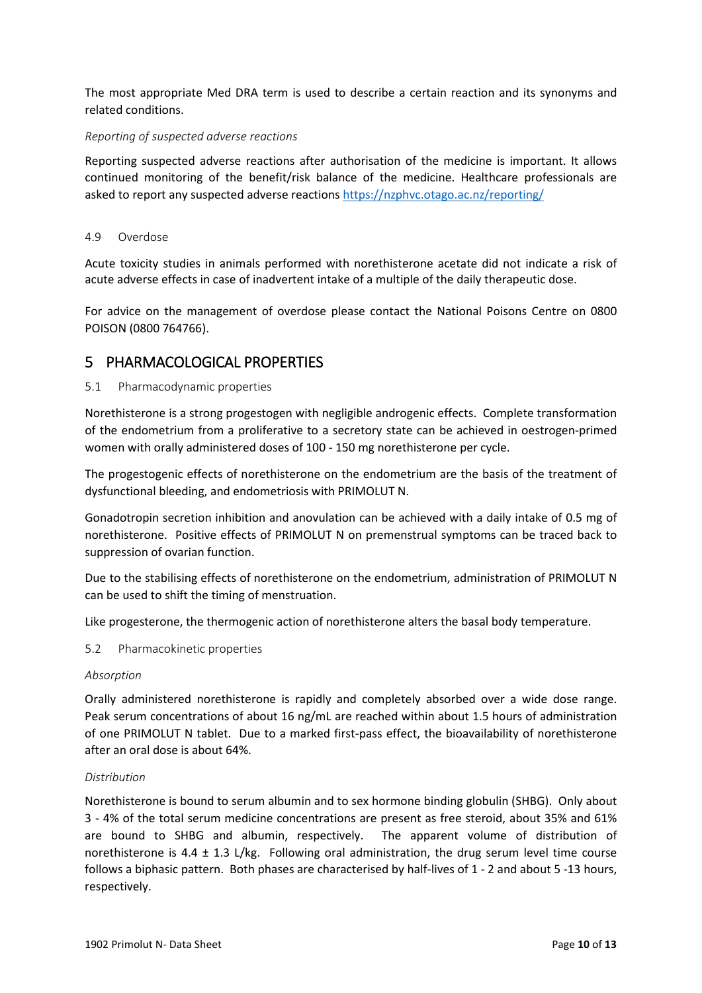The most appropriate Med DRA term is used to describe a certain reaction and its synonyms and related conditions.

## *Reporting of suspected adverse reactions*

Reporting suspected adverse reactions after authorisation of the medicine is important. It allows continued monitoring of the benefit/risk balance of the medicine. Healthcare professionals are asked to report any suspected adverse reactions <https://nzphvc.otago.ac.nz/reporting/>

#### 4.9 Overdose

Acute toxicity studies in animals performed with norethisterone acetate did not indicate a risk of acute adverse effects in case of inadvertent intake of a multiple of the daily therapeutic dose.

For advice on the management of overdose please contact the National Poisons Centre on 0800 POISON (0800 764766).

## 5 PHARMACOLOGICAL PROPERTIES

### 5.1 Pharmacodynamic properties

Norethisterone is a strong progestogen with negligible androgenic effects. Complete transformation of the endometrium from a proliferative to a secretory state can be achieved in oestrogen-primed women with orally administered doses of 100 - 150 mg norethisterone per cycle.

The progestogenic effects of norethisterone on the endometrium are the basis of the treatment of dysfunctional bleeding, and endometriosis with PRIMOLUT N.

Gonadotropin secretion inhibition and anovulation can be achieved with a daily intake of 0.5 mg of norethisterone. Positive effects of PRIMOLUT N on premenstrual symptoms can be traced back to suppression of ovarian function.

Due to the stabilising effects of norethisterone on the endometrium, administration of PRIMOLUT N can be used to shift the timing of menstruation.

Like progesterone, the thermogenic action of norethisterone alters the basal body temperature.

#### <span id="page-9-0"></span>5.2 Pharmacokinetic properties

#### *Absorption*

Orally administered norethisterone is rapidly and completely absorbed over a wide dose range. Peak serum concentrations of about 16 ng/mL are reached within about 1.5 hours of administration of one PRIMOLUT N tablet. Due to a marked first-pass effect, the bioavailability of norethisterone after an oral dose is about 64%.

#### *Distribution*

Norethisterone is bound to serum albumin and to sex hormone binding globulin (SHBG). Only about 3 - 4% of the total serum medicine concentrations are present as free steroid, about 35% and 61% are bound to SHBG and albumin, respectively. The apparent volume of distribution of norethisterone is 4.4  $\pm$  1.3 L/kg. Following oral administration, the drug serum level time course follows a biphasic pattern. Both phases are characterised by half-lives of 1 - 2 and about 5 -13 hours, respectively.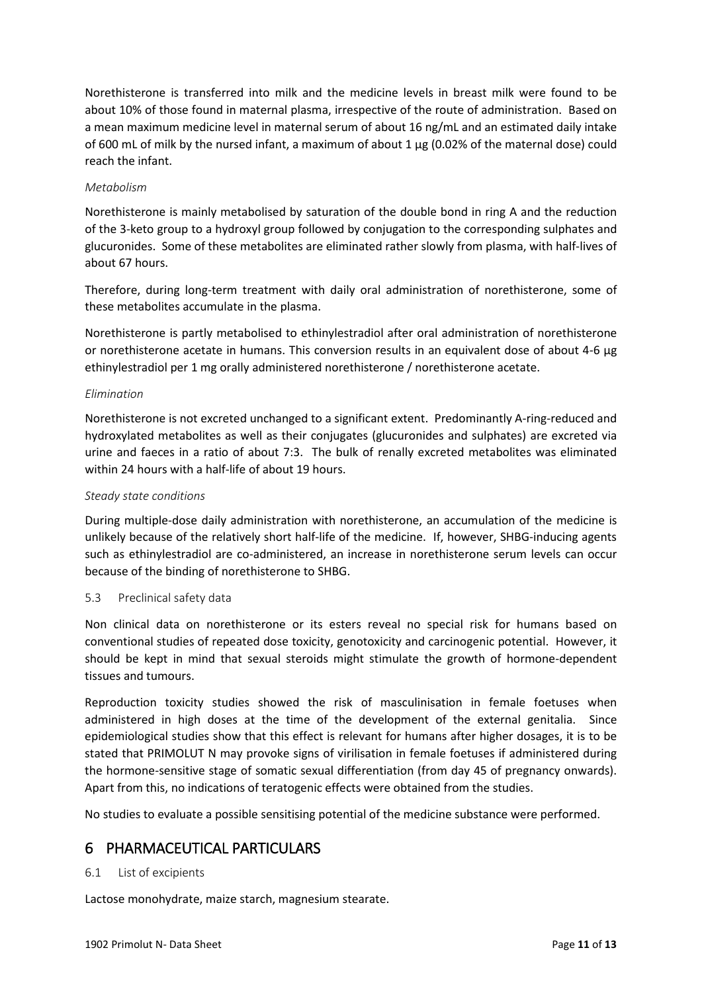Norethisterone is transferred into milk and the medicine levels in breast milk were found to be about 10% of those found in maternal plasma, irrespective of the route of administration. Based on a mean maximum medicine level in maternal serum of about 16 ng/mL and an estimated daily intake of 600 mL of milk by the nursed infant, a maximum of about 1 μg (0.02% of the maternal dose) could reach the infant.

## *Metabolism*

Norethisterone is mainly metabolised by saturation of the double bond in ring A and the reduction of the 3-keto group to a hydroxyl group followed by conjugation to the corresponding sulphates and glucuronides. Some of these metabolites are eliminated rather slowly from plasma, with half-lives of about 67 hours.

Therefore, during long-term treatment with daily oral administration of norethisterone, some of these metabolites accumulate in the plasma.

Norethisterone is partly metabolised to ethinylestradiol after oral administration of norethisterone or norethisterone acetate in humans. This conversion results in an equivalent dose of about 4-6 µg ethinylestradiol per 1 mg orally administered norethisterone / norethisterone acetate.

## *Elimination*

Norethisterone is not excreted unchanged to a significant extent. Predominantly A-ring-reduced and hydroxylated metabolites as well as their conjugates (glucuronides and sulphates) are excreted via urine and faeces in a ratio of about 7:3. The bulk of renally excreted metabolites was eliminated within 24 hours with a half-life of about 19 hours.

## *Steady state conditions*

During multiple-dose daily administration with norethisterone, an accumulation of the medicine is unlikely because of the relatively short half-life of the medicine. If, however, SHBG-inducing agents such as ethinylestradiol are co-administered, an increase in norethisterone serum levels can occur because of the binding of norethisterone to SHBG.

## <span id="page-10-1"></span>5.3 Preclinical safety data

Non clinical data on norethisterone or its esters reveal no special risk for humans based on conventional studies of repeated dose toxicity, genotoxicity and carcinogenic potential. However, it should be kept in mind that sexual steroids might stimulate the growth of hormone-dependent tissues and tumours.

Reproduction toxicity studies showed the risk of masculinisation in female foetuses when administered in high doses at the time of the development of the external genitalia. Since epidemiological studies show that this effect is relevant for humans after higher dosages, it is to be stated that PRIMOLUT N may provoke signs of virilisation in female foetuses if administered during the hormone-sensitive stage of somatic sexual differentiation (from day 45 of pregnancy onwards). Apart from this, no indications of teratogenic effects were obtained from the studies.

No studies to evaluate a possible sensitising potential of the medicine substance were performed.

# 6 PHARMACEUTICAL PARTICULARS

## <span id="page-10-0"></span>6.1 List of excipients

Lactose monohydrate, maize starch, magnesium stearate.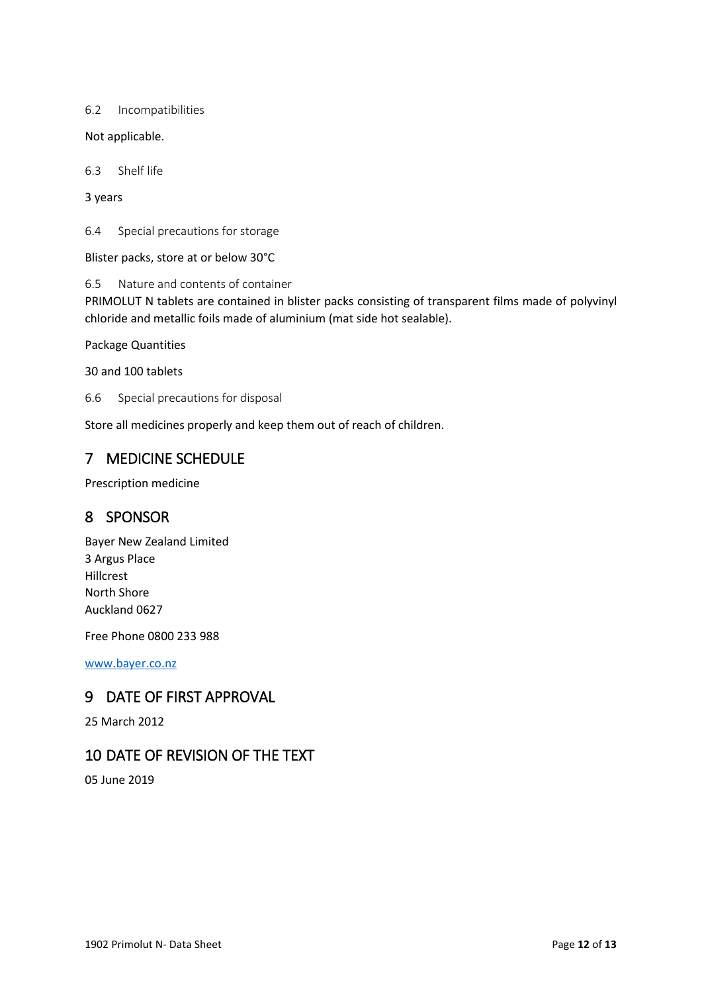6.2 Incompatibilities

## Not applicable.

6.3 Shelf life

## 3 years

6.4 Special precautions for storage

Blister packs, store at or below 30°C

6.5 Nature and contents of container

PRIMOLUT N tablets are contained in blister packs consisting of transparent films made of polyvinyl chloride and metallic foils made of aluminium (mat side hot sealable).

Package Quantities

30 and 100 tablets

6.6 Special precautions for disposal

Store all medicines properly and keep them out of reach of children.

# 7 MEDICINE SCHEDULE

Prescription medicine

# 8 SPONSOR

Bayer New Zealand Limited 3 Argus Place Hillcrest North Shore Auckland 0627

Free Phone 0800 233 988

[www.bayer.co.nz](http://www.bayer.co.nz/)

# 9 DATE OF FIRST APPROVAL

25 March 2012

# 10 DATE OF REVISION OF THE TEXT

05 June 2019